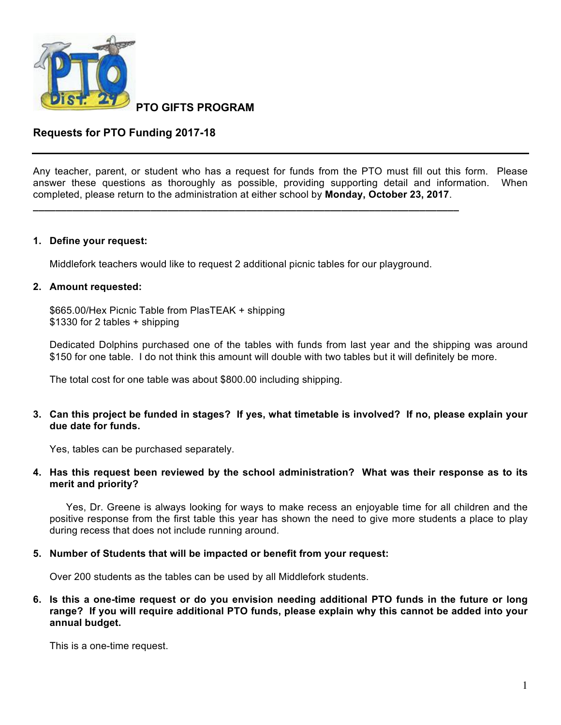

**PTO GIFTS PROGRAM**

# **Requests for PTO Funding 2017-18**

Any teacher, parent, or student who has a request for funds from the PTO must fill out this form. Please answer these questions as thoroughly as possible, providing supporting detail and information. When completed, please return to the administration at either school by **Monday, October 23, 2017**.

#### **1. Define your request:**

Middlefork teachers would like to request 2 additional picnic tables for our playground.

**\_\_\_\_\_\_\_\_\_\_\_\_\_\_\_\_\_\_\_\_\_\_\_\_\_\_\_\_\_\_\_\_\_\_\_\_\_\_\_\_\_\_\_\_\_\_\_\_\_\_\_\_\_\_\_\_\_\_\_\_\_\_\_\_\_\_\_\_\_\_\_\_\_\_\_\_**

# **2. Amount requested:**

\$665.00/Hex Picnic Table from PlasTEAK + shipping \$1330 for 2 tables + shipping

Dedicated Dolphins purchased one of the tables with funds from last year and the shipping was around \$150 for one table. I do not think this amount will double with two tables but it will definitely be more.

The total cost for one table was about \$800.00 including shipping.

# **3. Can this project be funded in stages? If yes, what timetable is involved? If no, please explain your due date for funds.**

Yes, tables can be purchased separately.

# **4. Has this request been reviewed by the school administration? What was their response as to its merit and priority?**

Yes, Dr. Greene is always looking for ways to make recess an enjoyable time for all children and the positive response from the first table this year has shown the need to give more students a place to play during recess that does not include running around.

#### **5. Number of Students that will be impacted or benefit from your request:**

Over 200 students as the tables can be used by all Middlefork students.

**6. Is this a one-time request or do you envision needing additional PTO funds in the future or long range? If you will require additional PTO funds, please explain why this cannot be added into your annual budget.**

This is a one-time request.